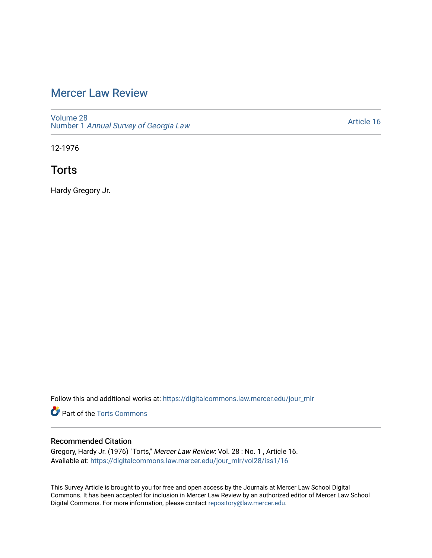# [Mercer Law Review](https://digitalcommons.law.mercer.edu/jour_mlr)

[Volume 28](https://digitalcommons.law.mercer.edu/jour_mlr/vol28) Number 1 [Annual Survey of Georgia Law](https://digitalcommons.law.mercer.edu/jour_mlr/vol28/iss1) 

[Article 16](https://digitalcommons.law.mercer.edu/jour_mlr/vol28/iss1/16) 

12-1976

**Torts** 

Hardy Gregory Jr.

Follow this and additional works at: [https://digitalcommons.law.mercer.edu/jour\\_mlr](https://digitalcommons.law.mercer.edu/jour_mlr?utm_source=digitalcommons.law.mercer.edu%2Fjour_mlr%2Fvol28%2Fiss1%2F16&utm_medium=PDF&utm_campaign=PDFCoverPages)

**C** Part of the [Torts Commons](http://network.bepress.com/hgg/discipline/913?utm_source=digitalcommons.law.mercer.edu%2Fjour_mlr%2Fvol28%2Fiss1%2F16&utm_medium=PDF&utm_campaign=PDFCoverPages)

# Recommended Citation

Gregory, Hardy Jr. (1976) "Torts," Mercer Law Review: Vol. 28 : No. 1 , Article 16. Available at: [https://digitalcommons.law.mercer.edu/jour\\_mlr/vol28/iss1/16](https://digitalcommons.law.mercer.edu/jour_mlr/vol28/iss1/16?utm_source=digitalcommons.law.mercer.edu%2Fjour_mlr%2Fvol28%2Fiss1%2F16&utm_medium=PDF&utm_campaign=PDFCoverPages) 

This Survey Article is brought to you for free and open access by the Journals at Mercer Law School Digital Commons. It has been accepted for inclusion in Mercer Law Review by an authorized editor of Mercer Law School Digital Commons. For more information, please contact [repository@law.mercer.edu](mailto:repository@law.mercer.edu).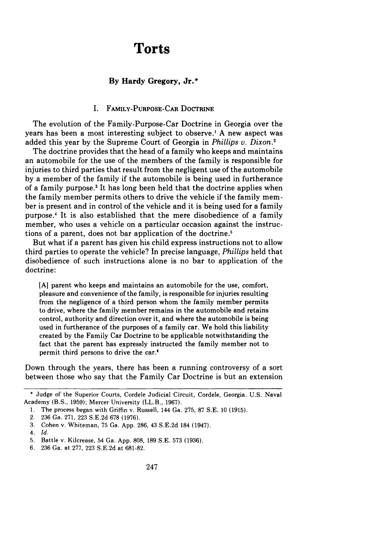# **Torts**

# **By Hardy Gregory, Jr.\***

#### I. **FAMILY-PURPOSE-CAR DOCTRINE**

The evolution of the Family-Purpose-Car Doctrine in Georgia over the years has been a most interesting subject to observe.' **A** new aspect was added this year **by** the Supreme Court of Georgia in *Phillips v. Dixon.'*

The doctrine provides that the head of a family who keeps and maintains an automobile for the use of the members of the family is responsible for injuries to third parties that result from the negligent use of the automobile **by** a member of the family if the automobile is being used in furtherance of a family purpose.3 It has long been held that the doctrine applies when the family member permits others to drive the vehicle if the family member is present and in control of the vehicle and it is being used for a family purpose.4 It is also established that the mere disobedience of a family member, who uses a vehicle on a particular occasion against the instructions of a parent, does not bar application of the doctrine.'

But what if a parent has given his child express instructions not to allow third parties to operate the vehicle? In precise language, *Phillips* held that disobedience of such instructions alone is no bar to application of the doctrine:

**[A]** parent who keeps and maintains an automobile for the use, comfort, pleasure and convenience of the family, is responsible for injuries resulting from the negligence of a third person whom the family member permits to drive, where the family member remains in the automobile and retains control, authority and direction over it, and where the automobile is being used in furtherance of the purposes of a family car. We hold this liability created **by** the Family Car Doctrine to be applicable notwithstanding the fact that the parent has expressly instructed the family member not to permit third persons to drive the car.'

Down through the years, there has been a running controversy of a sort between those who say that the Family Car Doctrine is but an extension

<sup>\*</sup> Judge of the Superior Courts, Cordele Judicial Circuit, Cordele, Georgia. U.S. Naval Academy (B.S., 1959); Mercer University (LL.B., 1967).

<sup>1.</sup> The process began with Griffin v. Russell, 144 Ga. 275, 87 S.E. 10 (1915).

<sup>2. 236</sup> Ga. 271, 223 S.E.2d 678 (1976).

<sup>3.</sup> Cohen v. Whiteman, 75 Ga. App. 286, 43 S.E.2d 184 (1947).

*<sup>4.</sup> Id.*

<sup>5.</sup> Battle v. Kilcrease, 54 Ga. App. 808, 189 S.E. 573 (1936).

<sup>6. 236</sup> Ga. at 277, 223 S.E.2d at 681-82.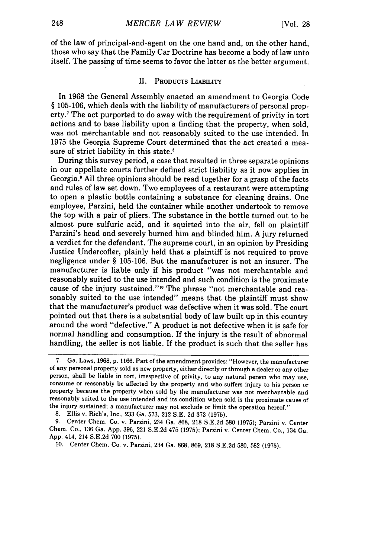of the law of principal-and-agent on the one hand and, on the other hand, those who say that the Family Car Doctrine has become a body of law unto itself. The passing of time seems to favor the latter as the better argument.

## **UI. PRODUCTS** LIABILITY

In 1968 the General Assembly enacted an amendment to Georgia Code § 105-106, which deals with the liability of manufacturers of personal property.7 The act purported to do away with the requirement of privity in tort actions and to base liability upon a finding that the property, when sold, was not merchantable and not reasonably suited to the use intended. In 1975 the Georgia Supreme Court determined that the act created a measure of strict liability in this state.<sup>8</sup>

During this survey period, a case that resulted in three separate opinions in our appellate courts further defined strict liability as it now applies in Georgia.' All three opinions should be read together for a grasp of the facts and rules of law set down. Two employees of a restaurant were attempting to open a plastic bottle containing a substance for cleaning drains. One employee, Parzini, held the container while another undertook to remove the top with a pair of pliers. The substance in the bottle turned out to be almost pure sulfuric acid, and it squirted into the air, fell on plaintiff Parzini's head and severely burned him and blinded him. A jury returned a verdict for the defendant. The supreme court, in an opinion by Presiding Justice Undercofler, plainly held that a plaintiff is not required to prove negligence under § 105-106. But the manufacturer is not an insurer. The manufacturer is liable only if his product "was not merchantable and reasonably suited to the use intended and such condition is the proximate cause of the injury sustained."<sup>10</sup> The phrase "not merchantable and reasonably suited to the use intended" means that the plaintiff must show that the manufacturer's product was defective when it was sold. The court pointed out that there is a substantial body of law built up in this country around the word "defective." A product is not defective when it is safe for normal handling and consumption. If the injury is the result of abnormal handling, the seller is not liable. If the product is such that the seller has

**<sup>7.</sup>** Ga. Laws, 1968, p. 1166. Part of the amendment provides: "However, the manufacturer of any personal property sold as new property, either directly or through a dealer or any other person, shall be liable in tort, irrespective of privity, to any natural person who may use, consume or reasonably be affected by the property and who suffers injury to his person or property because the property when sold by the manufacturer was not merchantable and reasonably suited to the use intended and its condition when sold is the proximate cause of the injury sustained; a manufacturer may not exclude or limit the operation hereof."

<sup>8.</sup> Ellis v. Rich's, Inc., 233 Ga. 573, 212 S.E. 2d **373** (1975).

<sup>9.</sup> Center Chem. Co. v. Parzini, 234 Ga. 868, **218** S.E.2d 580 (1975); Parzini v. Center Chem. Co., 136 Ga. App. 396, 221 S.E.2d 475 (1975); Parzini v. Center Chem. Co., 134 Ga. App. 414, 214 S.E.2d **700** (1975).

<sup>10.</sup> Center Chem. Co. v. Parzini, 234 Ga. 868, 869, 218 S.E.2d 580, 582 (1975).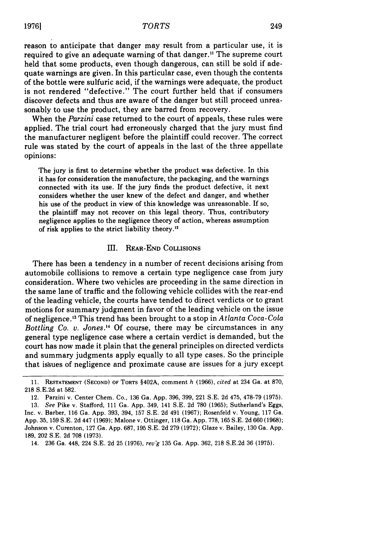reason to anticipate that danger may result from a particular use, it is required to give an adequate warning of that danger." The supreme court held that some products, even though dangerous, can still be sold if adequate warnings are given. In this particular case, even though the contents of the bottle were sulfuric acid, if the warnings were adequate, the product is not rendered "defective." The court further held that if consumers discover defects and thus are aware of the danger but still proceed unreasonably to use the product, they are barred from recovery.

When the *Parzini* case returned to the court of appeals, these rules were applied. The trial court had erroneously charged that the jury must find the manufacturer negligent before the plaintiff could recover. The correct rule was stated by the court of appeals in the last of the three appellate opinions:

The jury is first to determine whether the product was defective. In this it has for consideration the manufacture, the packaging, and the warnings connected with its use. If the jury finds the product defective, it next considers whether the user knew of the defect and danger, and whether his use of the product in view of this knowledge was unreasonable. If so, the plaintiff may not recover on this legal theory. Thus, contributory negligence applies to the negligence theory of action, whereas assumption of risk applies to the strict liability theory.'

#### III. REAR-END COLLISIONS

There has been a tendency in a number of recent decisions arising from automobile collisions to remove a certain type negligence case from jury consideration. Where two vehicles are proceeding in the same direction in the same lane of traffic and the following vehicle collides with the rear-end of the leading vehicle, the courts have tended to direct verdicts or to grant motions for summary judgment in favor of the leading vehicle on the issue of negligence. 3 This trend has been brought to a stop in *Atlanta Coca-Cola* Bottling Co. v. Jones.<sup>14</sup> Of course, there may be circumstances in any general type negligence case where a certain verdict is demanded, but the court has now made it plain that the general principles on directed verdicts and summary judgments apply equally to all type cases. So the principle that issues of negligence and proximate cause are issues for a jury except

14. 236 Ga. 448, 224 S.E. 2d 25 (1976), *revg* 135 Ga. App. 362, 218 S.E.2d 36 (1975).

<sup>11.</sup> **RESTATEMENT (SECOND)** OF TORTS §402A, comment *h* (1966), *cited* at 234 Ga. at 870, 218 S.E.2d at 582.

<sup>12.</sup> Parzini v. Center Chem. Co., 136 Ga. App. 396, 399, 221 S.E. 2d 475, 478-79 (1975). 13. *See* Pike v. Stafford, **Ill** Ga. App. 349, 141 S.E. 2d 780 (1965); Sutherland's Eggs, Inc. v. Barber, 116 Ga. App. 393, 394, 157 **S.E.** 2d 491 (1967); Rosenfeld v. Young, 117 Ga. App. 35, 159 S.E. 2d 447 (1969); Malone v. Ottinger, 118 Ga. App. 778, 165 S.E. 2d 660 (1968); Johnson v. Curenton, 127 Ga. App. 687, 195 S.E. 2d 279 (1972); Glaze v. Bailey, 130 Ga. App. 189, 202 S.E. 2d 708 (1973).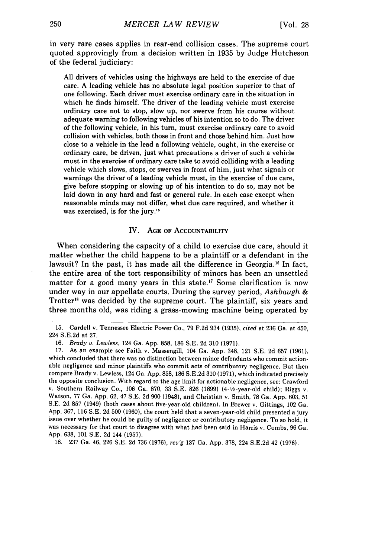in very rare cases applies in rear-end collision cases. The supreme court quoted approvingly from a decision written in 1935 by Judge Hutcheson of the federal judiciary:

All drivers of vehicles using the highways are held to the exercise of due care. A leading vehicle has no absolute legal position superior to that of one following. Each driver must exercise ordinary care in the situation in which he finds himself. The driver of the leading vehicle must exercise ordinary care not to stop, slow up, nor swerve from his course without adequate warning to following vehicles of his intention so to do. The driver of the following vehicle, in his turn, must exercise ordinary care to avoid collision with vehicles, both those in front and those behind him. Just how close to a vehicle in the lead a following vehicle, ought, in the exercise or ordinary care, be driven, just what precautions a driver of such a vehicle must in the exercise of ordinary care take to avoid colliding with a leading vehicle which slows, stops, or swerves in front of him, just what signals or warnings the driver of a leading vehicle must, in the exercise of due care, give before stopping or slowing up of his intention to do so, may not be laid down in any hard and fast or general rule. In each case except when reasonable minds may not differ, what due care required, and whether it was exercised, is for the jury.'<sup>5</sup>

#### IV. **AGE** OF AcCOUNTABILITY

When considering the capacity of a child to exercise due care, should it matter whether the child happens to be a plaintiff or a defendant in the lawsuit? In the past, it has made all the difference in Georgia.<sup>16</sup> In fact, the entire area of the tort responsibility of minors has been an unsettled matter for a good many years in this state.<sup>17</sup> Some clarification is now under way in our appellate courts. During the survey period, *Ashbaugh &* Trotter<sup>18</sup> was decided by the supreme court. The plaintiff, six years and three months old, was riding a grass-mowing machine being operated by

18. 237 Ga. 46, 226 S.E. 2d 736 (1976), *rev'g* 137 Ga. App. 378, 224 S.E.2d 42 (1976).

**<sup>15.</sup>** Cardell v. Tennessee Electric Power Co., **79** F.2d 934 **(1935),** *cited* at **236** Ga. at 450, 224 S.E.2d at **27.**

<sup>16.</sup> *Brady v. Lewless,* 124 Ga. App. 858, 186 S.E. 2d 310 (1971).

<sup>17.</sup> As an example see Faith v. Massengill, 104 Ga. App. 348, 121 S.E. 2d 657 (1961), which concluded that there was no distinction between minor defendants who commit actionable negligence and minor plaintiffs who commit acts of contributory negligence. But then compare Brady v. Lewless, 124 Ga. App. 858, 186 S.E.2d 310 (1971), which indicated precisely the opposite conclusion. With regard to the age limit for actionable negligence, see: Crawford v. Southern Railway Co., 106 Ga. 870, 33 S.E. 826 (1899) (4-1/2-year-old child); Riggs v. Watson, 77 Ga. App. 62, 47 S.E. 2d 900 (1948), and Christian v. Smith, 78 Ga. App. 603, 51 **S.E.** 2d 857 (1949) (both cases about five-year-old children). In Brewer v. Gittings, 102 Ga. App. 367, 116 S.E. 2d 500 (1960), the court held that a seven-year-old child presented a jury issue over whether he could be guilty of negligence or contributory negligence. To so hold, it was necessary for that court to disagree with what had been said in Harris v. Combs, 96 Ga. App. 638, **101** S.E. 2d 144 (1957).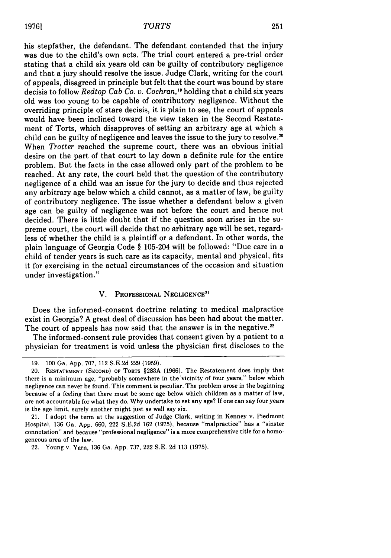his stepfather, the defendant. The defendant contended that the injury was due to the child's own acts. The trial court entered a pre-trial order stating that a child six years old can be guilty of contributory negligence and that a jury should resolve the issue. Judge Clark, writing for the court of appeals, disagreed in principle but felt that the court was bound by stare decisis to follow *Redtop Cab Co. u. Cochran,'"* holding that a child six years old was too young to be capable of contributory negligence. Without the overriding principle of stare decisis, it is plain to see, the court of appeals would have been inclined toward the view taken in the Second Restatement of Torts, which disapproves of setting an arbitrary age at which a child can be guilty of negligence and leaves the issue to the jury to resolve.<sup>20</sup> When *Trotter* reached the supreme court, there was an obvious initial desire on the part of that court to lay down a definite rule for the entire problem. But the facts in the case allowed only part of the problem to be reached. At any rate, the court held that the question of the contributory negligence of a child was an issue for the jury to decide and thus rejected any arbitrary age below which a child cannot, as a matter of law, be guilty of contributory negligence. The issue whether a defendant below a given age can be guilty of negligence was not before the court and hence not decided. There is little doubt that if the question soon arises in the supreme court, the court will decide that no arbitrary age will be set, regardless of whether the child is a plaintiff or a defendant. In other words, the plain language of Georgia Code § 105-204 will be followed: "Due care in a child of tender years is such care as its capacity, mental and physical, fits it for exercising in the actual circumstances of the occasion and situation under investigation."

# V. PROFESSIONAL **NEGLIGENCE<sup>2</sup> <sup>1</sup>**

Does the informed-consent doctrine relating to medical malpractice exist in Georgia? A great deal of discussion has been had about the matter. The court of appeals has now said that the answer is in the negative.<sup>22</sup>

The informed-consent rule provides that consent given by a patient to a physician for treatment is void unless the physician first discloses to the

**<sup>19.</sup>** 100 Ga. App. 707, 112 S.E.2d **229 (1959).**

<sup>20.</sup> RESTATEMENT **(SECOND)** OF TORTS §283A (1966). The Restatement does imply that there is a minimum age, "probably somewhere in the'vicinity of four years," below which negligence can never be found. This comment is peculiar. The problem arose in the beginning because of a feeling that there must be some age below which children as a matter of law, are not accountable for what they do. Why undertake to set any age? If one can say four years is the age limit, surely another might just as well say six.

<sup>21.</sup> I adopt the term at the suggestion of Judge Clark, writing in Kenney v. Piedmont Hospital, 136 Ga. App. 660, 222 S.E.2d 162 (1975), because "malpractice" has a "sinster connotation" and because "professional negligence" is a more comprehensive title for a homogeneous area of the law.

<sup>22.</sup> Young v. Yarn, 136 Ga. App. 737, 222 S.E. 2d 113 (1975).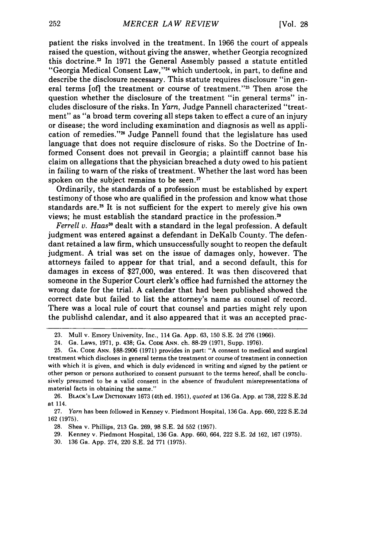patient the risks involved in the treatment. In 1966 the court of appeals raised the question, without giving the answer, whether Georgia recognized this doctrine." In 1971 the General Assembly passed a statute entitled "Georgia Medical Consent Law,"<sup>24</sup> which undertook, in part, to define and describe the disclosure necessary. This statute requires disclosure "in general terms [of] the treatment or course of treatment."<sup>25</sup> Then arose the question whether the disclosure of the treatment "in general terms" includes disclosure of the risks. In *Yarn,* Judge Pannell characterized "treatment" as "a broad term covering all steps taken to effect a cure of an injury or disease; the word including examination and diagnosis as well as application of remedies.""6 Judge Pannell found that the legislature has used language that does not require disclosure of risks. So the Doctrine of Informed Consent does not prevail in Georgia; a plaintiff cannot base his claim on allegations that the physician breached a duty owed to his patient in failing to warn of the risks of treatment. Whether the last word has been spoken on the subject remains to be seen.<sup>27</sup>

Ordinarily, the standards of a profession must be established by expert testimony of those who are qualified in the profession and know what those standards are.<sup>28</sup> It is not sufficient for the expert to merely give his own views; he must establish the standard practice in the profession.<sup>29</sup>

*Ferrell v. Haas"* dealt with a standard in the legal profession. A default judgment was entered against a defendant in DeKalb County. The defendant retained a law firm, which unsuccessfully sought to reopen the default judgment. A trial was set on the issue of damages only, however. The attorneys failed to appear for that trial, and a second default, this for damages in excess of \$27,000, was entered. It was then discovered that someone in the Superior Court clerk's office had furnished the attorney the wrong date for the trial. A calendar that had been published showed the correct date but failed to list the attorney's name as counsel of record. There was a local rule of court that counsel and parties might rely upon the publishd calendar, and it also appeared that it was an accepted prac-

- 28. Shea v. Phillips, 213 Ga. 269, 98 S.E. 2d 552 (1957).
- 29. Kenney v. Piedmont Hospital, 136 Ga. App. 660, 664, 222 S.E. 2d 162, 167 (1975).
- 30. 136 Ga. App. 274, 220 S.E. 2d 771 (1975).

<sup>23.</sup> Mull v. Emory University, Inc., 114 Ga. App. 63, 150 S.E. 2d 276 (1966).

<sup>24.</sup> Ga. Laws, 1971, p. 438; **GA. CODE ANN.** ch. 88-29 (1971, Supp. 1976).

**<sup>25.</sup>** GA. **CODE ANN.** §88-2906 (1971) provides in part: "A consent to medical and surgical treatment which discloses in general terms the treatment or course of treatment in connection with which it is given, and which is duly evidenced in writing and signed by the patient or other person or persons authorized to consent pursuant to the terms hereof, shall be conclusively presumed to be a valid consent in the absence of fraudulent misrepresentations of material facts in obtaining the same."

<sup>26.</sup> BLACK'S **LAW** DICTIONARY 1673 (4th ed. 1951), quoted at 136 Ga. App. at 738, 222 S.E.2d at 114.

<sup>27.</sup> *Yarn* has been followed in Kenney v. Piedmont Hospital, 136 Ga. App. 660, 222 S.E.2d 162 (1975).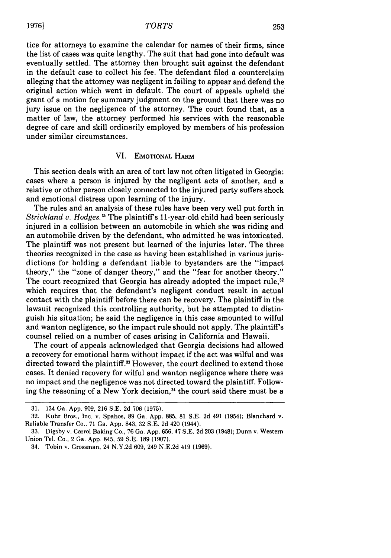tice for attorneys to examine the calendar for names of their firms, since the list of cases was quite lengthy. The suit that had gone into default was eventually settled. The attorney then brought suit against the defendant in the default case to collect his fee. The defendant filed a counterclaim alleging that the attorney was negligent in failing to appear and defend the original action which went in default. The court of appeals upheld the grant of a motion for summary judgment on the ground that there was no jury issue on the negligence of the attorney. The court found that, as a matter of law, the attorney performed his services with the reasonable degree of care and skill ordinarily employed by members of his profession under similar circumstances.

#### VI. **EMOTIONAL** HARM

This section deals with an area of tort law not often litigated in Georgia: cases where a person is injured by the negligent acts of another, and a relative or other person closely connected to the injured party suffers shock and emotional distress upon learning of the injury.

The rules and an analysis of these rules have been very well put forth in *Strickland v. Hodges.3* The plaintiff's 11-year-old child had been seriously injured in a collision between an automobile in which she was riding and an automobile driven by the defendant, who admitted he was intoxicated. The plaintiff was not present but learned of the injuries later. The three theories recognized in the case as having been established in various jurisdictions for holding a defendant liable to bystanders are the "impact theory," the "zone of danger theory," and the "fear for another theory." The court recognized that Georgia has already adopted the impact rule,<sup>32</sup> which requires that the defendant's negligent conduct result in actual contact with the plaintiff before there can be recovery. The plaintiff in the lawsuit recognized this controlling authority, but he attempted to distinguish his situation; he said the negligence in this case amounted to wilful and wanton negligence, so the impact rule should not apply. The plaintiff's counsel relied on a number of cases arising in California and Hawaii.

The court of appeals acknowledged that Georgia decisions had allowed a recovery for emotional harm without impact if the act was wilful and was directed toward the plaintiff.<sup>33</sup> However, the court declined to extend those cases. It denied recovery for wilful and wanton negligence where there was no impact and the negligence was not directed toward the plaintiff. Following the reasoning of a New York decision,<sup>34</sup> the court said there must be a

<sup>31. 134</sup> Ga. App. 909, 216 S.E. 2d 706 (1975).

<sup>32.</sup> Kuhr Bros., Inc. v. Spahos, 89 Ga. App. 885, 81 S.E. 2d 491 (1954); Blanchard v. Reliable Transfer Co., 71 Ga. App. 843, 32 S.E. 2d 420 (1944).

<sup>33.</sup> Digsby v. Carrol Baking Co., 76 Ga. App. 656, 47 S.E. 2d 203 (1948); Dunn v. Western Union Tel. Co., 2 Ga. App. 845, 59 S.E. 189 (1907).

<sup>34.</sup> Tobin v. Grossman, 24 N.Y.2d 609, 249 N.E.2d 419 (1969).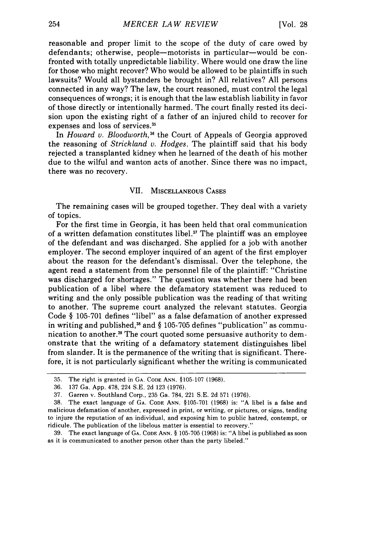reasonable and proper limit to the scope of the duty of care owed by defendants; otherwise, people-motorists in particular-would be confronted with totally unpredictable liability. Where would one draw the line for those who might recover? Who would be allowed to be plaintiffs in such lawsuits? Would all bystanders be brought in? All relatives? All persons connected in any way? The law, the court reasoned, must control the legal consequences of wrongs; it is enough that the law establish liability in favor of those directly or intentionally harmed. The court finally rested its decision upon the existing right of a father of an injured child to recover for expenses and loss of services.<sup>35</sup>

In *Howard v. Bloodworth*,<sup>36</sup> the Court of Appeals of Georgia approved the reasoning of *Strickland v. Hodges.* The plaintiff said that his body rejected a transplanted kidney when he learned of the death of his mother due to the wilful and wanton acts of another. Since there was no impact, there was no recovery.

### VII. MISCELLANEOUS CASES

The remaining cases will be grouped together. They deal with a variety of topics.

For the first time in Georgia, it has been held that oral communication of a written defamation constitutes libel.<sup>37</sup> The plaintiff was an employee of the defendant and was discharged. She applied for a job with another employer. The second employer inquired of an agent of the first employer about the reason for the defendant's dismissal. Over the telephone, the agent read a statement from the personnel file of the plaintiff: "Christine was discharged for shortages." The question was whether there had been publication of a libel where the defamatory statement was reduced to writing and the only possible publication was the reading of that writing to another. The supreme court analyzed the relevant statutes. Georgia Code § 105-701 defines "libel" as a false defamation of another expressed in writing and published,<sup>38</sup> and  $\S$  105-705 defines "publication" as communication to another.<sup>39</sup> The court quoted some persuasive authority to demonstrate that the writing of a defamatory statement distinguishes libel from slander. It is the permanence of the writing that is significant. Therefore, it is not particularly significant whether the writing is communicated

<sup>35.</sup> The right is granted in **GA. CODE** ANN. §105-107 (1968).

<sup>36. 137</sup> Ga. App. 478, 224 S.E. 2d 123 (1976).

<sup>37.</sup> Garren v. Southland Corp., 235 Ga. 784, 221 S.E. 2d 571 (1976).

<sup>38.</sup> The exact language of GA. CODE ANN. §105-701 (1968) is: "A libel is a false and malicious defamation of another, expressed in print, or writing, or pictures, or signs, tending to injure the reputation of an individual, and exposing him to public hatred, contempt, or ridicule. The publication of the libelous matter is essential to recovery."

<sup>39.</sup> The exact language of GA. CODE ANN. § 105-705 (1968) is: "A libel is published as soon as it is communicated to another person other than the party libeled."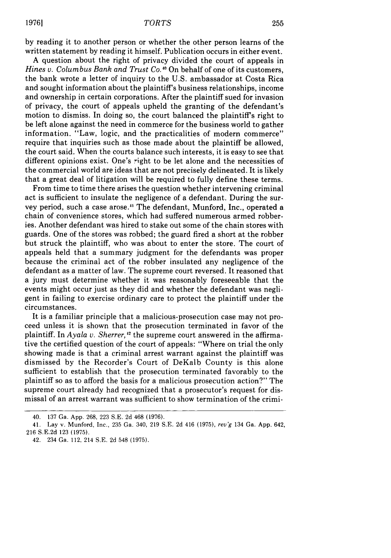by reading it to another person or whether the other person learns of the written statement by reading it himself. Publication occurs in either event.

A question about the right of privacy divided the court of appeals in Hines v. Columbus Bank and Trust Co.<sup>40</sup> On behalf of one of its customers, the bank wrote a letter of inquiry to the U.S. ambassador at Costa Rica and sought information about the plaintiff's business relationships, income and ownership in certain corporations. After the plaintiff sued for invasion of privacy, the court of appeals upheld the granting of the defendant's motion to dismiss. In doing so, the court balanced the plaintiff's right to be left alone against the need in commerce for the business world to gather information. "Law, logic, and the practicalities of modern commerce" require that inquiries such as those made about the plaintiff be allowed, the court said. When the courts balance such interests, it is easy to see that different opinions exist. One's right to be let alone and the necessities of the commercial world are ideas that are not precisely delineated. It is likely that a great deal of litigation will be required to fully define these terms.

From time to time there arises the question whether intervening criminal act is sufficient to insulate the negligence of a defendant. During the survey period, such a case arose.4 The defendant, Munford, Inc., operated a chain of convenience stores, which had suffered numerous armed robberies. Another defendant was hired to stake out some of the chain stores with guards. One of the stores was robbed; the guard fired a short at the robber but struck the plaintiff, who was about to enter the store. The court of appeals held that a summary judgment for the defendants was proper because the criminal act of the robber insulated any negligence of the defendant as a matter of law. The supreme court reversed. It reasoned that a jury must determine whether it was reasonably foreseeable that the events might occur just as they did and whether the defendant was negligent in failing to exercise ordinary care to protect the plaintiff under the circumstances.

It is a familiar principle that a malicious-prosecution case may not proceed unless it is shown that the prosecution terminated in favor of the plaintiff. In *Ayala v. Sherrer*,<sup>12</sup> the supreme court answered in the affirmative the certified question of the court of appeals: "Where on trial the only showing made is that a criminal arrest warrant against the plaintiff was dismissed by the Recorder's Court of DeKalb County is this alone sufficient to establish that the prosecution terminated favorably to the plaintiff so as to afford the basis for a malicious prosecution action?" The supreme court already had recognized that a prosecutor's request for dismissal of an arrest warrant was sufficient to show termination of the crimi-

<sup>40. 137</sup> Ga. App. 268, 223 S.E. 2d 468 (1976).

<sup>41.</sup> Lay v. Munford, Inc., 235 Ga. 340, 219 S.E. 2d 416 (1975), rev'g 134 Ga. App. 642, 216 S.E.2d 123 (1975).

<sup>42. 234</sup> Ga. 112, 214 S.E. 2d 548 (1975).